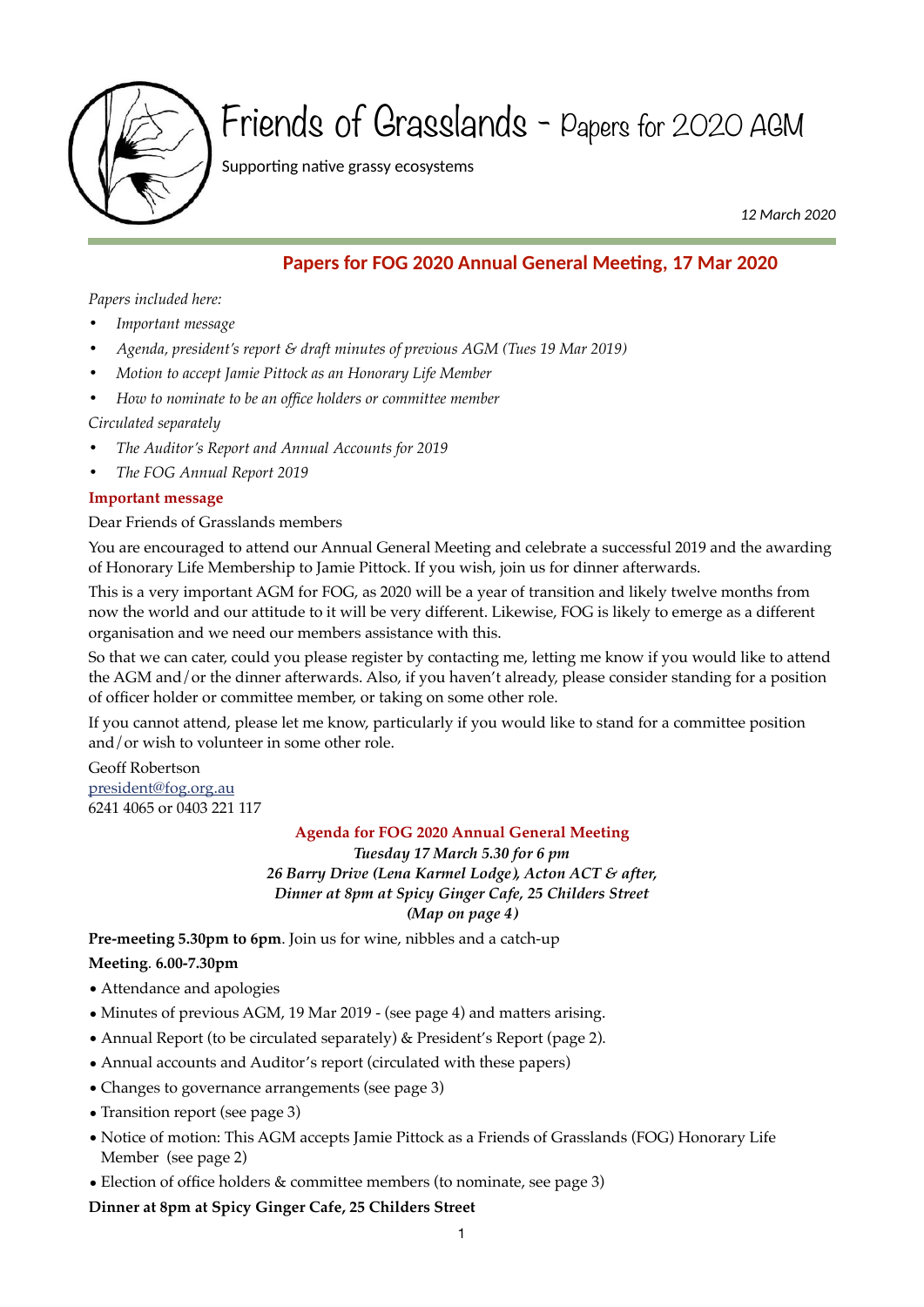

# Friends of Grasslands - Papers for 2020 AGM

Supporting native grassy ecosystems

 *12 March 2020*

# **Papers for FOG 2020 Annual General Meeting, 17 Mar 2020**

*Papers included here:*

- *• Important message*
- *• Agenda, president's report & draft minutes of previous AGM (Tues 19 Mar 2019)*
- *• Motion to accept Jamie Pittock as an Honorary Life Member*
- *• How to nominate to be an office holders or committee member*

# *Circulated separately*

- *• The Auditor's Report and Annual Accounts for 2019*
- *• The FOG Annual Report 2019*

# **Important message**

Dear Friends of Grasslands members

You are encouraged to attend our Annual General Meeting and celebrate a successful 2019 and the awarding of Honorary Life Membership to Jamie Pittock. If you wish, join us for dinner afterwards.

This is a very important AGM for FOG, as 2020 will be a year of transition and likely twelve months from now the world and our attitude to it will be very different. Likewise, FOG is likely to emerge as a different organisation and we need our members assistance with this.

So that we can cater, could you please register by contacting me, letting me know if you would like to attend the AGM and/or the dinner afterwards. Also, if you haven't already, please consider standing for a position of officer holder or committee member, or taking on some other role.

If you cannot attend, please let me know, particularly if you would like to stand for a committee position and/or wish to volunteer in some other role.

Geoff Robertson [president@fog.org.au](mailto:president@fog.org.au) 6241 4065 or 0403 221 117

# **Agenda for FOG 2020 Annual General Meeting**

*Tuesday 17 March 5.30 for 6 pm 26 Barry Drive (Lena Karmel Lodge), Acton ACT & after, Dinner at 8pm at Spicy Ginger Cafe, 25 Childers Street (Map on page 4)*

**Pre-meeting 5.30pm to 6pm**. Join us for wine, nibbles and a catch-up

# **Meeting**. **6.00-7.30pm**

- Attendance and apologies
- Minutes of previous AGM, 19 Mar 2019 (see page 4) and matters arising.
- Annual Report (to be circulated separately) & President's Report (page 2).
- Annual accounts and Auditor's report (circulated with these papers)
- Changes to governance arrangements (see page 3)
- Transition report (see page 3)
- Notice of motion: This AGM accepts Jamie Pittock as a Friends of Grasslands (FOG) Honorary Life Member (see page 2)
- Election of office holders & committee members (to nominate, see page 3)

**Dinner at 8pm at Spicy Ginger Cafe, 25 Childers Street**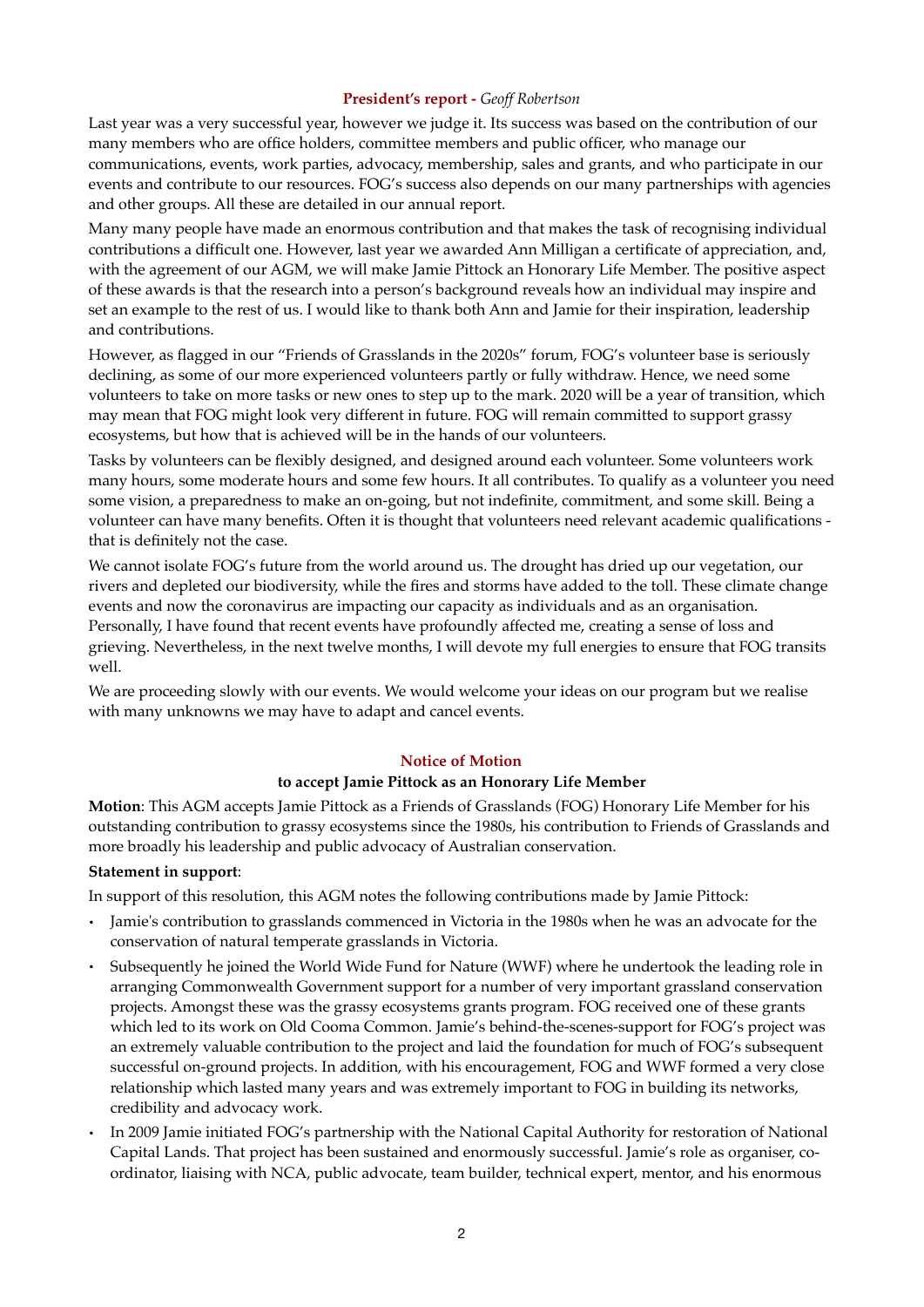### **President's report -** *Geoff Robertson*

Last year was a very successful year, however we judge it. Its success was based on the contribution of our many members who are office holders, committee members and public officer, who manage our communications, events, work parties, advocacy, membership, sales and grants, and who participate in our events and contribute to our resources. FOG's success also depends on our many partnerships with agencies and other groups. All these are detailed in our annual report.

Many many people have made an enormous contribution and that makes the task of recognising individual contributions a difficult one. However, last year we awarded Ann Milligan a certificate of appreciation, and, with the agreement of our AGM, we will make Jamie Pittock an Honorary Life Member. The positive aspect of these awards is that the research into a person's background reveals how an individual may inspire and set an example to the rest of us. I would like to thank both Ann and Jamie for their inspiration, leadership and contributions.

However, as flagged in our "Friends of Grasslands in the 2020s" forum, FOG's volunteer base is seriously declining, as some of our more experienced volunteers partly or fully withdraw. Hence, we need some volunteers to take on more tasks or new ones to step up to the mark. 2020 will be a year of transition, which may mean that FOG might look very different in future. FOG will remain committed to support grassy ecosystems, but how that is achieved will be in the hands of our volunteers.

Tasks by volunteers can be flexibly designed, and designed around each volunteer. Some volunteers work many hours, some moderate hours and some few hours. It all contributes. To qualify as a volunteer you need some vision, a preparedness to make an on-going, but not indefinite, commitment, and some skill. Being a volunteer can have many benefits. Often it is thought that volunteers need relevant academic qualifications that is definitely not the case.

We cannot isolate FOG's future from the world around us. The drought has dried up our vegetation, our rivers and depleted our biodiversity, while the fires and storms have added to the toll. These climate change events and now the coronavirus are impacting our capacity as individuals and as an organisation. Personally, I have found that recent events have profoundly affected me, creating a sense of loss and grieving. Nevertheless, in the next twelve months, I will devote my full energies to ensure that FOG transits well.

We are proceeding slowly with our events. We would welcome your ideas on our program but we realise with many unknowns we may have to adapt and cancel events.

#### **Notice of Motion**

#### **to accept Jamie Pittock as an Honorary Life Member**

**Motion**: This AGM accepts Jamie Pittock as a Friends of Grasslands (FOG) Honorary Life Member for his outstanding contribution to grassy ecosystems since the 1980s, his contribution to Friends of Grasslands and more broadly his leadership and public advocacy of Australian conservation.

# **Statement in support**:

In support of this resolution, this AGM notes the following contributions made by Jamie Pittock:

- Jamie's contribution to grasslands commenced in Victoria in the 1980s when he was an advocate for the conservation of natural temperate grasslands in Victoria.
- Subsequently he joined the World Wide Fund for Nature (WWF) where he undertook the leading role in arranging Commonwealth Government support for a number of very important grassland conservation projects. Amongst these was the grassy ecosystems grants program. FOG received one of these grants which led to its work on Old Cooma Common. Jamie's behind-the-scenes-support for FOG's project was an extremely valuable contribution to the project and laid the foundation for much of FOG's subsequent successful on-ground projects. In addition, with his encouragement, FOG and WWF formed a very close relationship which lasted many years and was extremely important to FOG in building its networks, credibility and advocacy work.
- In 2009 Jamie initiated FOG's partnership with the National Capital Authority for restoration of National Capital Lands. That project has been sustained and enormously successful. Jamie's role as organiser, coordinator, liaising with NCA, public advocate, team builder, technical expert, mentor, and his enormous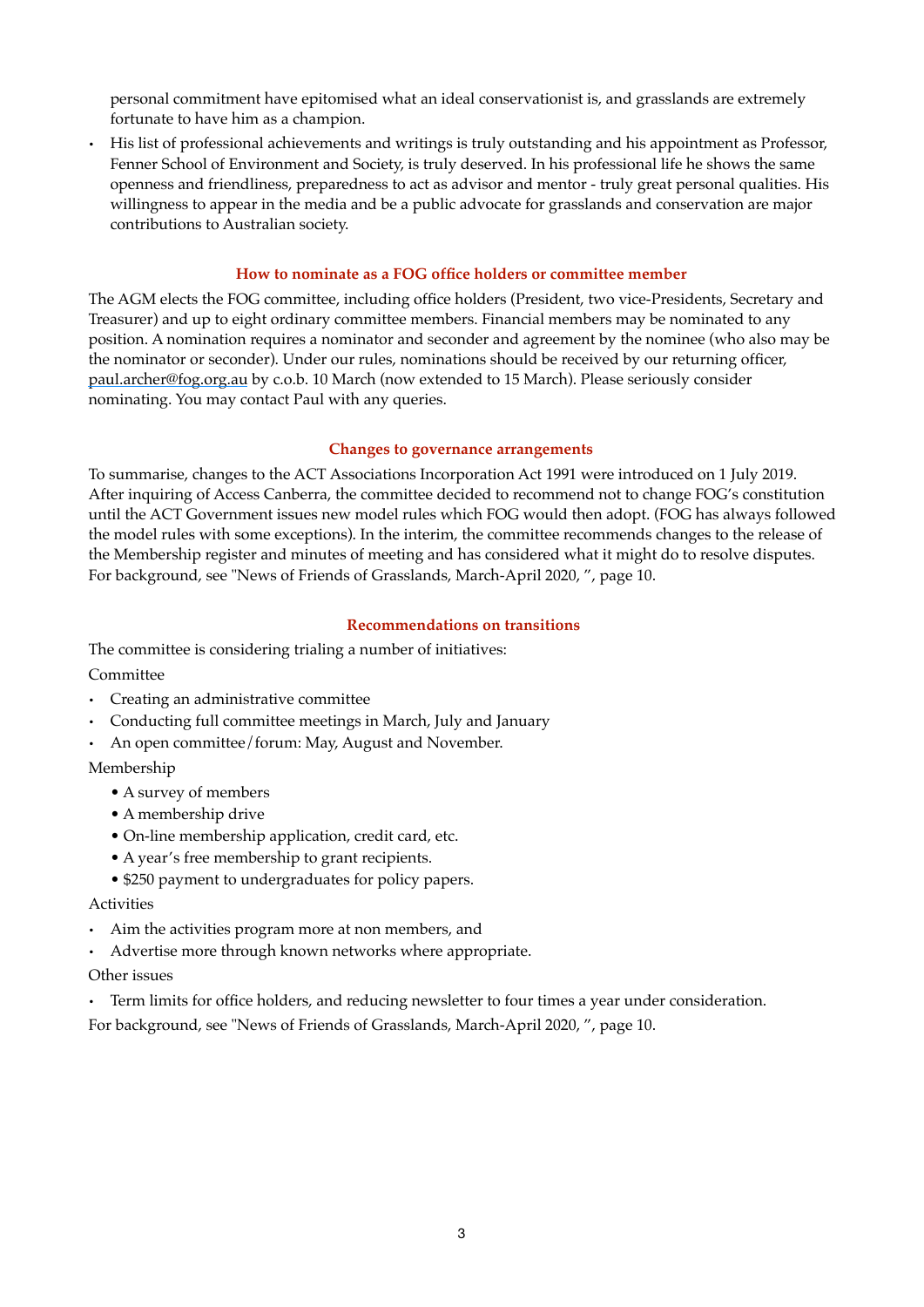personal commitment have epitomised what an ideal conservationist is, and grasslands are extremely fortunate to have him as a champion.

• His list of professional achievements and writings is truly outstanding and his appointment as Professor, Fenner School of Environment and Society, is truly deserved. In his professional life he shows the same openness and friendliness, preparedness to act as advisor and mentor - truly great personal qualities. His willingness to appear in the media and be a public advocate for grasslands and conservation are major contributions to Australian society.

# **How to nominate as a FOG office holders or committee member**

The AGM elects the FOG committee, including office holders (President, two vice-Presidents, Secretary and Treasurer) and up to eight ordinary committee members. Financial members may be nominated to any position. A nomination requires a nominator and seconder and agreement by the nominee (who also may be the nominator or seconder). Under our rules, nominations should be received by our returning officer, [paul.archer@fog.org.au](mailto:paul.archer@fog.org.au) by c.o.b. 10 March (now extended to 15 March). Please seriously consider nominating. You may contact Paul with any queries.

# **Changes to governance arrangements**

To summarise, changes to the ACT Associations Incorporation Act 1991 were introduced on 1 July 2019. After inquiring of Access Canberra, the committee decided to recommend not to change FOG's constitution until the ACT Government issues new model rules which FOG would then adopt. (FOG has always followed the model rules with some exceptions). In the interim, the committee recommends changes to the release of the Membership register and minutes of meeting and has considered what it might do to resolve disputes. For background, see "News of Friends of Grasslands, March-April 2020, ", page 10.

# **Recommendations on transitions**

The committee is considering trialing a number of initiatives: Committee

- Creating an administrative committee
- Conducting full committee meetings in March, July and January
- An open committee/forum: May, August and November.

# Membership

- A survey of members
- A membership drive
- On-line membership application, credit card, etc.
- A year's free membership to grant recipients.
- \$250 payment to undergraduates for policy papers.

# Activities

- Aim the activities program more at non members, and
- Advertise more through known networks where appropriate.

# Other issues

• Term limits for office holders, and reducing newsletter to four times a year under consideration.

For background, see "News of Friends of Grasslands, March-April 2020, ", page 10.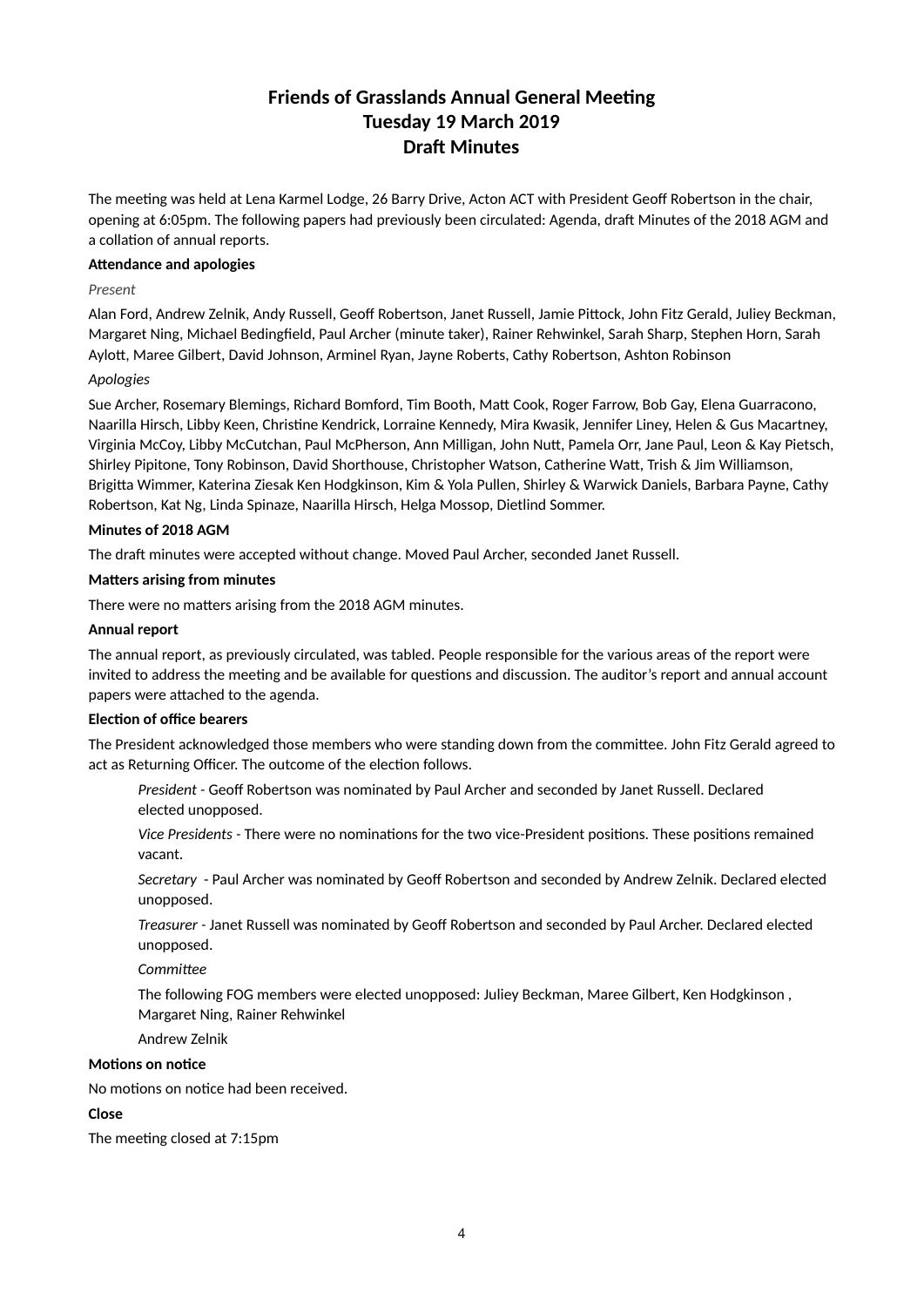# **Friends of Grasslands Annual General Meeting Tuesday 19 March 2019 Draft Minutes**

The meeting was held at Lena Karmel Lodge, 26 Barry Drive, Acton ACT with President Geoff Robertson in the chair, opening at 6:05pm. The following papers had previously been circulated: Agenda, draft Minutes of the 2018 AGM and a collation of annual reports.

#### **Attendance and apologies**

#### *Present*

Alan Ford, Andrew Zelnik, Andy Russell, Geoff Robertson, Janet Russell, Jamie Pittock, John Fitz Gerald, Juliey Beckman, Margaret Ning, Michael Bedingfield, Paul Archer (minute taker), Rainer Rehwinkel, Sarah Sharp, Stephen Horn, Sarah Aylott, Maree Gilbert, David Johnson, Arminel Ryan, Jayne Roberts, Cathy Robertson, Ashton Robinson

#### *Apologies*

Sue Archer, Rosemary Blemings, Richard Bomford, Tim Booth, Matt Cook, Roger Farrow, Bob Gay, Elena Guarracono, Naarilla Hirsch, Libby Keen, Christine Kendrick, Lorraine Kennedy, Mira Kwasik, Jennifer Liney, Helen & Gus Macartney, Virginia McCoy, Libby McCutchan, Paul McPherson, Ann Milligan, John Nutt, Pamela Orr, Jane Paul, Leon & Kay Pietsch, Shirley Pipitone, Tony Robinson, David Shorthouse, Christopher Watson, Catherine Watt, Trish & Jim Williamson, Brigitta Wimmer, Katerina Ziesak Ken Hodgkinson, Kim & Yola Pullen, Shirley & Warwick Daniels, Barbara Payne, Cathy Robertson, Kat Ng, Linda Spinaze, Naarilla Hirsch, Helga Mossop, Dietlind Sommer.

#### **Minutes of 2018 AGM**

The draft minutes were accepted without change. Moved Paul Archer, seconded Janet Russell.

#### **Matters arising from minutes**

There were no matters arising from the 2018 AGM minutes.

#### **Annual report**

The annual report, as previously circulated, was tabled. People responsible for the various areas of the report were invited to address the meeting and be available for questions and discussion. The auditor's report and annual account papers were attached to the agenda.

#### **Election of office bearers**

The President acknowledged those members who were standing down from the committee. John Fitz Gerald agreed to act as Returning Officer. The outcome of the election follows.

*President -* Geoff Robertson was nominated by Paul Archer and seconded by Janet Russell. Declared elected unopposed.

Vice Presidents - There were no nominations for the two vice-President positions. These positions remained vacant.

*Secretary* - Paul Archer was nominated by Geoff Robertson and seconded by Andrew Zelnik. Declared elected unopposed.

*Treasurer -* Janet Russell was nominated by Geoff Robertson and seconded by Paul Archer. Declared elected unopposed.

 $Committee$ 

The following FOG members were elected unopposed: Juliey Beckman, Maree Gilbert, Ken Hodgkinson , Margaret Ning, Rainer Rehwinkel

Andrew Zelnik

#### **Motions on notice**

No motions on notice had been received.

#### **Close**

The meeting closed at 7:15pm